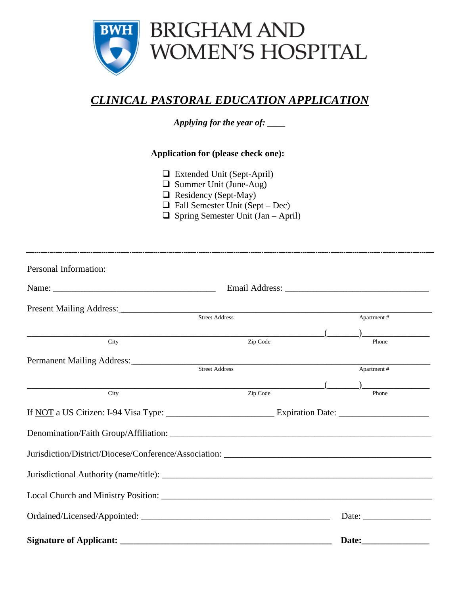

## *CLINICAL PASTORAL EDUCATION APPLICATION*

*Applying for the year of: \_\_\_\_*

**Application for (please check one):**

- Extended Unit (Sept-April)
- Summer Unit (June-Aug)
- $\Box$  Residency (Sept-May)
- $\Box$  Fall Semester Unit (Sept Dec)
- $\Box$  Spring Semester Unit (Jan April)

| Personal Information:                         |                       |                                                                                                                                                                                                                                                                                                                                                                              |  |  |  |
|-----------------------------------------------|-----------------------|------------------------------------------------------------------------------------------------------------------------------------------------------------------------------------------------------------------------------------------------------------------------------------------------------------------------------------------------------------------------------|--|--|--|
|                                               |                       |                                                                                                                                                                                                                                                                                                                                                                              |  |  |  |
|                                               |                       |                                                                                                                                                                                                                                                                                                                                                                              |  |  |  |
|                                               | <b>Street Address</b> | Apartment#                                                                                                                                                                                                                                                                                                                                                                   |  |  |  |
| City                                          | Zip Code              | $\begin{picture}(20,10) \put(0,0){\vector(1,0){100}} \put(15,0){\vector(1,0){100}} \put(15,0){\vector(1,0){100}} \put(15,0){\vector(1,0){100}} \put(15,0){\vector(1,0){100}} \put(15,0){\vector(1,0){100}} \put(15,0){\vector(1,0){100}} \put(15,0){\vector(1,0){100}} \put(15,0){\vector(1,0){100}} \put(15,0){\vector(1,0){100}} \put(15,0){\vector(1,0){100}} \$<br>Phone |  |  |  |
|                                               |                       |                                                                                                                                                                                                                                                                                                                                                                              |  |  |  |
|                                               | <b>Street Address</b> | Apartment #                                                                                                                                                                                                                                                                                                                                                                  |  |  |  |
| $\overline{(\overline{\phantom{a}})}$<br>City | Zip Code              | Phone                                                                                                                                                                                                                                                                                                                                                                        |  |  |  |
|                                               |                       |                                                                                                                                                                                                                                                                                                                                                                              |  |  |  |
|                                               |                       |                                                                                                                                                                                                                                                                                                                                                                              |  |  |  |
|                                               |                       |                                                                                                                                                                                                                                                                                                                                                                              |  |  |  |
|                                               |                       |                                                                                                                                                                                                                                                                                                                                                                              |  |  |  |
|                                               |                       |                                                                                                                                                                                                                                                                                                                                                                              |  |  |  |
|                                               |                       |                                                                                                                                                                                                                                                                                                                                                                              |  |  |  |
|                                               |                       |                                                                                                                                                                                                                                                                                                                                                                              |  |  |  |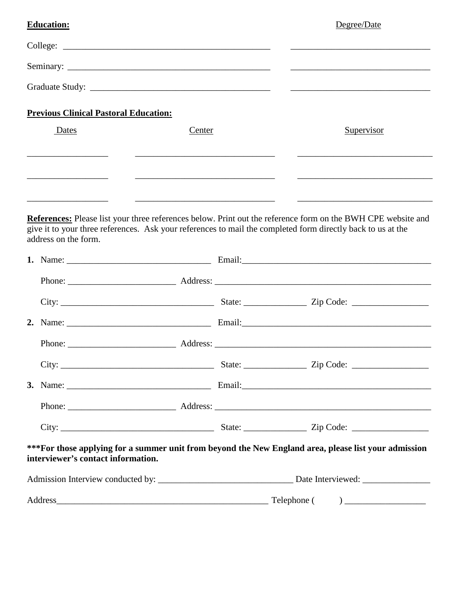| <b>Education:</b>                            |        |  | Degree/Date                                                                                                                                                                                                                 |
|----------------------------------------------|--------|--|-----------------------------------------------------------------------------------------------------------------------------------------------------------------------------------------------------------------------------|
|                                              |        |  |                                                                                                                                                                                                                             |
|                                              |        |  |                                                                                                                                                                                                                             |
|                                              |        |  |                                                                                                                                                                                                                             |
| <b>Previous Clinical Pastoral Education:</b> |        |  |                                                                                                                                                                                                                             |
| Dates                                        | Center |  | Supervisor                                                                                                                                                                                                                  |
|                                              |        |  |                                                                                                                                                                                                                             |
|                                              |        |  |                                                                                                                                                                                                                             |
| address on the form.                         |        |  | References: Please list your three references below. Print out the reference form on the BWH CPE website and<br>give it to your three references. Ask your references to mail the completed form directly back to us at the |
|                                              |        |  |                                                                                                                                                                                                                             |
|                                              |        |  |                                                                                                                                                                                                                             |
|                                              |        |  |                                                                                                                                                                                                                             |
|                                              |        |  |                                                                                                                                                                                                                             |
|                                              |        |  |                                                                                                                                                                                                                             |
|                                              |        |  |                                                                                                                                                                                                                             |
|                                              |        |  |                                                                                                                                                                                                                             |
|                                              |        |  |                                                                                                                                                                                                                             |
|                                              |        |  |                                                                                                                                                                                                                             |
| interviewer's contact information.           |        |  | *** For those applying for a summer unit from beyond the New England area, please list your admission                                                                                                                       |
|                                              |        |  |                                                                                                                                                                                                                             |
|                                              |        |  |                                                                                                                                                                                                                             |